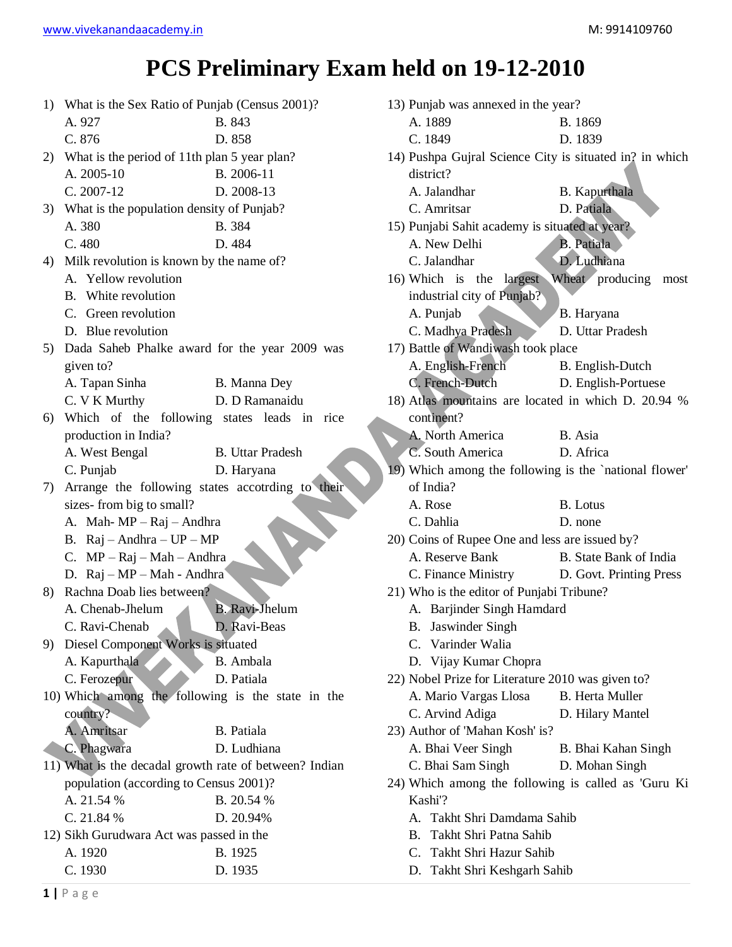## **PCS Preliminary Exam held on 19-12-2010**

|    | 1) What is the Sex Ratio of Punjab (Census 2001)?       |                         | 13) Punjab was annexed in the year?                     |                         |
|----|---------------------------------------------------------|-------------------------|---------------------------------------------------------|-------------------------|
|    | A. 927                                                  | B. 843                  | A. 1889                                                 | B. 1869                 |
|    | C. 876                                                  | D. 858                  | C. 1849                                                 | D. 1839                 |
| 2) | What is the period of 11th plan 5 year plan?            |                         | 14) Pushpa Gujral Science City is situated in? in which |                         |
|    | A. 2005-10                                              | B. 2006-11              | district?                                               |                         |
|    | $C. 2007-12$                                            | D. 2008-13              | A. Jalandhar                                            | <b>B.</b> Kapurthala    |
| 3) | What is the population density of Punjab?               |                         | C. Amritsar                                             | D. Patiala              |
|    | A. 380                                                  | B. 384                  | 15) Punjabi Sahit academy is situated at year?          |                         |
|    | C. 480                                                  | D. 484                  | A. New Delhi                                            | B. Patiala              |
| 4) | Milk revolution is known by the name of?                |                         | C. Jalandhar                                            | D. Ludhiana             |
|    | A. Yellow revolution                                    |                         | 16) Which is the largest Wheat producing most           |                         |
|    | B. White revolution                                     |                         | industrial city of Punjab?                              |                         |
|    | C. Green revolution                                     |                         | A. Punjab                                               | B. Haryana              |
|    | D. Blue revolution                                      |                         | C. Madhya Pradesh                                       | D. Uttar Pradesh        |
| 5) | Dada Saheb Phalke award for the year 2009 was           |                         | 17) Battle of Wandiwash took place                      |                         |
|    | given to?                                               |                         | A. English-French                                       | B. English-Dutch        |
|    | A. Tapan Sinha                                          | B. Manna Dey            | C. French-Dutch                                         | D. English-Portuese     |
|    | C. V K Murthy                                           | D. D Ramanaidu          | 18) Atlas mountains are located in which D. 20.94 %     |                         |
| 6) | Which of the following states leads in rice             |                         | continent?                                              |                         |
|    | production in India?                                    |                         | A. North America                                        | B. Asia                 |
|    | A. West Bengal                                          | <b>B.</b> Uttar Pradesh | C. South America                                        | D. Africa               |
|    | C. Punjab                                               | D. Haryana              | 19) Which among the following is the `national flower'  |                         |
| 7) | Arrange the following states accotrding to their        |                         | of India?                                               |                         |
|    | sizes-from big to small?                                |                         | A. Rose                                                 | <b>B.</b> Lotus         |
|    | A. Mah-MP-Raj-Andhra                                    |                         | C. Dahlia                                               | D. none                 |
|    | B. $\text{Raj} - \text{Andhra} - \text{UP} - \text{MP}$ |                         | 20) Coins of Rupee One and less are issued by?          |                         |
|    | C. $MP - Raj - Mah - Andhra$                            |                         | A. Reserve Bank                                         | B. State Bank of India  |
|    | D. Raj - MP - Mah - Andhra                              |                         | C. Finance Ministry                                     | D. Govt. Printing Press |
| 8) | Rachna Doab lies between?                               |                         | 21) Who is the editor of Punjabi Tribune?               |                         |
|    | A. Chenab-Jhelum                                        | <b>B.</b> Ravi-Jhelum   | A. Barjinder Singh Hamdard                              |                         |
|    | C. Ravi-Chenab                                          | D. Ravi-Beas            | B. Jaswinder Singh                                      |                         |
| 9) | Diesel Component Works is situated                      |                         | C. Varinder Walia                                       |                         |
|    | A. Kapurthala                                           | B. Ambala               | D. Vijay Kumar Chopra                                   |                         |
|    | C. Ferozepur                                            | D. Patiala              | 22) Nobel Prize for Literature 2010 was given to?       |                         |
|    | 10) Which among the following is the state in the       |                         | A. Mario Vargas Llosa                                   | <b>B.</b> Herta Muller  |
|    | country?                                                |                         | C. Arvind Adiga                                         | D. Hilary Mantel        |
|    | A. Amritsar                                             | B. Patiala              | 23) Author of 'Mahan Kosh' is?                          |                         |
|    | C. Phagwara                                             | D. Ludhiana             | A. Bhai Veer Singh                                      | B. Bhai Kahan Singh     |
|    | 11) What is the decadal growth rate of between? Indian  |                         | C. Bhai Sam Singh                                       | D. Mohan Singh          |
|    | population (according to Census 2001)?                  |                         | 24) Which among the following is called as 'Guru Ki     |                         |
|    | A. 21.54 %                                              | B. 20.54 %              | Kashi'?                                                 |                         |
|    | C. 21.84 %                                              | D. 20.94%               | A. Takht Shri Damdama Sahib                             |                         |
|    | 12) Sikh Gurudwara Act was passed in the                |                         | B. Takht Shri Patna Sahib                               |                         |
|    | A. 1920                                                 | B. 1925                 | C. Takht Shri Hazur Sahib                               |                         |
|    | C. 1930                                                 | D. 1935                 | D. Takht Shri Keshgarh Sahib                            |                         |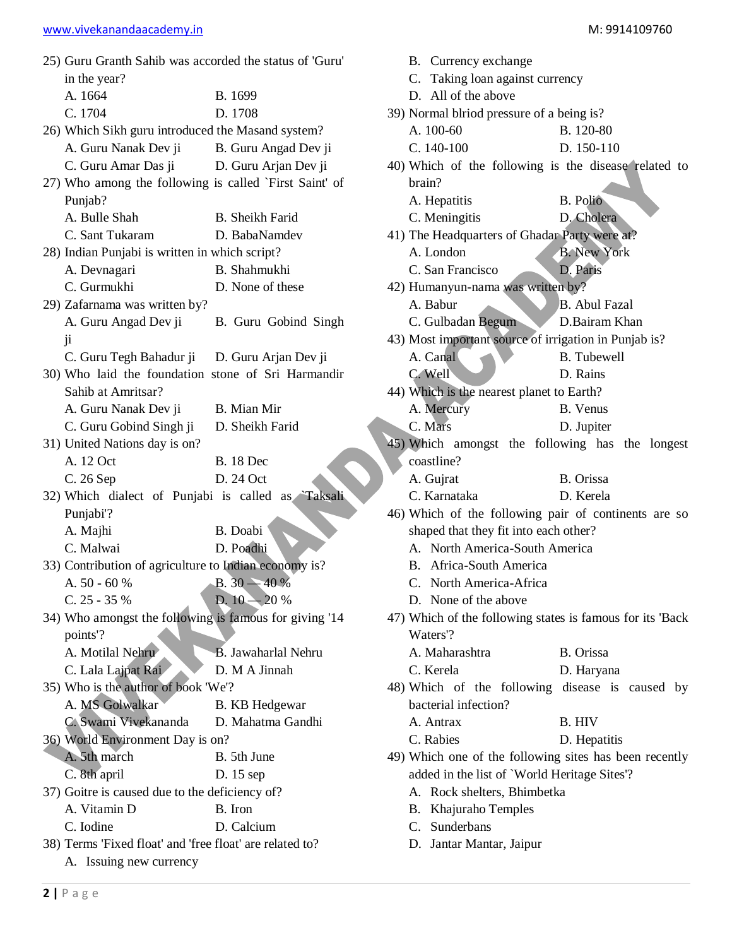| <u>www.vivenananaaddachiy.iii</u>                       |                        |  |  |  |
|---------------------------------------------------------|------------------------|--|--|--|
| 25) Guru Granth Sahib was accorded the status of 'Guru' |                        |  |  |  |
| in the year?                                            |                        |  |  |  |
| A. 1664                                                 | B. 1699                |  |  |  |
| C. 1704                                                 | D. 1708                |  |  |  |
| 26) Which Sikh guru introduced the Masand system?       |                        |  |  |  |
| A. Guru Nanak Dev ji B. Guru Angad Dev ji               |                        |  |  |  |
| C. Guru Amar Das ji D. Guru Arjan Dev ji                |                        |  |  |  |
| 27) Who among the following is called `First Saint' of  |                        |  |  |  |
| Punjab?                                                 |                        |  |  |  |
| A. Bulle Shah                                           | <b>B.</b> Sheikh Farid |  |  |  |
| C. Sant Tukaram                                         | D. BabaNamdev          |  |  |  |
| 28) Indian Punjabi is written in which script?          |                        |  |  |  |
| A. Devnagari                                            | B. Shahmukhi           |  |  |  |
| C. Gurmukhi                                             | D. None of these       |  |  |  |
| 29) Zafarnama was written by?                           |                        |  |  |  |
| A. Guru Angad Dev ji                                    | B. Guru Gobind Singh   |  |  |  |
| $\overline{\mathbf{u}}$                                 |                        |  |  |  |
| C. Guru Tegh Bahadur ji D. Guru Arjan Dev ji            |                        |  |  |  |
| 30) Who laid the foundation stone of Sri Harmandir      |                        |  |  |  |
| Sahib at Amritsar?                                      |                        |  |  |  |
| A. Guru Nanak Dev ji                                    | B. Mian Mir            |  |  |  |
| C. Guru Gobind Singh ji                                 | D. Sheikh Farid        |  |  |  |
| 31) United Nations day is on?                           |                        |  |  |  |
| A. 12 Oct                                               | <b>B.</b> 18 Dec       |  |  |  |
| C. 26 Sep                                               | D. 24 Oct              |  |  |  |
| 32) Which dialect of Punjabi is called as Taksali       |                        |  |  |  |
| Punjabi'?                                               |                        |  |  |  |
| A. Majhi                                                | B. Doabi               |  |  |  |
| C. Malwai                                               | D. Poadhi              |  |  |  |
| 33) Contribution of agriculture to Indian economy is?   |                        |  |  |  |
| A. 50 - 60 %                                            | $B.30 - 40%$           |  |  |  |
| $C. 25 - 35 %$                                          | D. $10 - 20%$          |  |  |  |
| 34) Who amongst the following is famous for giving '14  |                        |  |  |  |
| points'?                                                |                        |  |  |  |
| 11.11                                                   | $T = 1$ 11371          |  |  |  |

poin A. Motilal Nehru B. Jawaharlal Nehru C. Lala Lajpat Rai D. M A Jinnah 35) Who is the author of book 'We'? A. MS Golwalkar B. KB Hedgewar C. Swami Vivekananda D. Mahatma Gandhi 36) World Environment Day is on? A. 5th march B. 5th June C. 8th april D. 15 sep 37) Goitre is caused due to the deficiency of? A. Vitamin D B. Iron

- C. Iodine D. Calcium
- 38) Terms 'Fixed float' and 'free float' are related to? A. Issuing new currency
- C. Taking loan against currency
- D. All of the above
- 39) Normal blriod pressure of a being is?
	- A. 100-60 B. 120-80
	- C. 140-100 D. 150-110
- 40) Which of the following is the disease related to brain? A. Hepatitis B. Polio
	- C. Meningitis D. Cholera
- 41) The Headquarters of Ghadar Party were at? A. London B. New York C. San Francisco D. Paris
- 42) Humanyun-nama was written by?
	- A. Babur B. Abul Fazal
	- C. Gulbadan Begum D.Bairam Khan
- 43) Most important source of irrigation in Punjab is? A. Canal B. Tubewell
- C. Well D. Rains 44) Which is the nearest planet to Earth? A. Mercury B. Venus
	- C. Mars D. Jupiter
- 45) Which amongst the following has the longest coastline?
	- A. Gujrat B. Orissa
	- C. Karnataka D. Kerela
- 46) Which of the following pair of continents are so shaped that they fit into each other?
	- A. North America-South America
	- B. Africa-South America
	- C. North America-Africa
	- D. None of the above
- 47) Which of the following states is famous for its 'Back Waters'?

| A. Maharashtra                                  |  | B. Orissa  |  |  |  |
|-------------------------------------------------|--|------------|--|--|--|
| C. Kerela                                       |  | D. Haryana |  |  |  |
| 48) Which of the following disease is caused by |  |            |  |  |  |
| bacterial infection?                            |  |            |  |  |  |

- A. Antrax B. HIV
- C. Rabies D. Hepatitis
- 49) Which one of the following sites has been recently added in the list of `World Heritage Sites'?
	- A. Rock shelters, Bhimbetka
	- B. Khajuraho Temples
	- C. Sunderbans
	- D. Jantar Mantar, Jaipur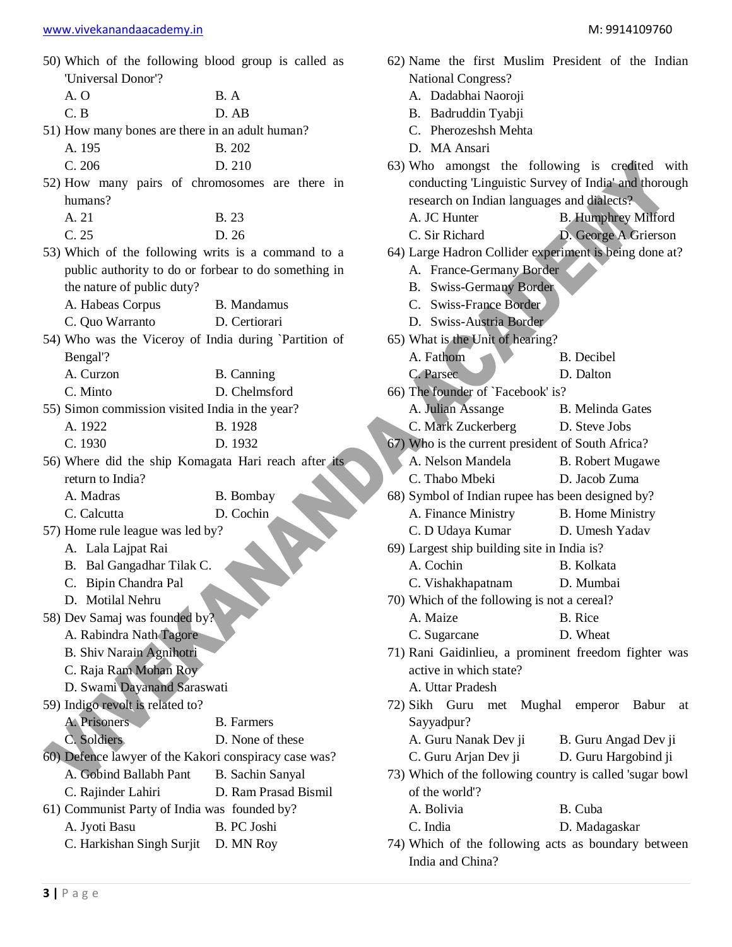50) Which of the following blood group is called as 'Universal Donor'?

| A.O | B. A  |
|-----|-------|
| C.B | D. AB |

- 51) How many bones are there in an adult human? A. 195 B. 202
	- C. 206 D. 210
- 52) How many pairs of chromosomes are there in humans?

| A. 21 | <b>B.</b> 23 |
|-------|--------------|
| C. 25 | D.26         |

- 53) Which of the following writs is a command to a public authority to do or forbear to do something in the nature of public duty?
	- A. Habeas Corpus B. Mandamus C. Quo Warranto D. Certiorari
- 54) Who was the Viceroy of India during `Partition of Bengal'?
	- A. Curzon B. Canning C. Minto D. Chelmsford
- 55) Simon commission visited India in the year? A. 1922 B. 1928
	- C. 1930 D. 1932
- 56) Where did the ship Komagata Hari reach after its return to India?
	- A. Madras B. Bombay
	- C. Calcutta D. Cochin
- 57) Home rule league was led by?
	- A. Lala Lajpat Rai
	- B. Bal Gangadhar Tilak C.
	- C. Bipin Chandra Pal
	- D. Motilal Nehru
- 58) Dev Samaj was founded by?
	- A. Rabindra Nath Tagore
	- B. Shiv Narain Agnihotri
	- C. Raja Ram Mohan Roy
	- D. Swami Dayanand Saraswati
- 59) Indigo revolt is related to?
	- A. Prisoners B. Farmers
	- C. Soldiers D. None of these
- 60) Defence lawyer of the Kakori conspiracy case was? A. Gobind Ballabh Pant B. Sachin Sanyal
- C. Rajinder Lahiri D. Ram Prasad Bismil
- 61) Communist Party of India was founded by?
	- A. Jyoti Basu B. PC Joshi
	- C. Harkishan Singh Surjit D. MN Roy
- 62) Name the first Muslim President of the Indian National Congress?
	- A. Dadabhai Naoroji
	- B. Badruddin Tyabji
	- C. Pherozeshsh Mehta
	- D. MA Ansari
- 63) Who amongst the following is credited with conducting 'Linguistic Survey of India' and thorough research on Indian languages and dialects?
	- A. JC Hunter B. Humphrey Milford
	- C. Sir Richard D. George A Grierson
- 64) Large Hadron Collider experiment is being done at?
	- A. France-Germany Border
	- B. Swiss-Germany Border
	- C. Swiss-France Border
	- D. Swiss-Austria Border
- 65) What is the Unit of hearing?
	- A. Fathom B. Decibel
	- C. Parsec D. Dalton
- 66) The founder of `Facebook' is?
	- A. Julian Assange B. Melinda Gates
	- C. Mark Zuckerberg D. Steve Jobs
- 67) Who is the current president of South Africa?
	- A. Nelson Mandela B. Robert Mugawe
	- C. Thabo Mbeki D. Jacob Zuma
- 68) Symbol of Indian rupee has been designed by? A. Finance Ministry B. Home Ministry
- C. D Udaya Kumar D. Umesh Yadav
- 69) Largest ship building site in India is?
- A. Cochin B. Kolkata
- C. Vishakhapatnam D. Mumbai
- 70) Which of the following is not a cereal?
	- A. Maize B. Rice
	- C. Sugarcane D. Wheat
- 71) Rani Gaidinlieu, a prominent freedom fighter was active in which state?
	- A. Uttar Pradesh
- 72) Sikh Guru met Mughal emperor Babur at Sayyadpur?
	- A. Guru Nanak Dev ji B. Guru Angad Dev ji
	- C. Guru Arjan Dev ji D. Guru Hargobind ji
- 73) Which of the following country is called 'sugar bowl of the world'?
	- A. Bolivia B. Cuba C. India D. Madagaskar
- 74) Which of the following acts as boundary between India and China?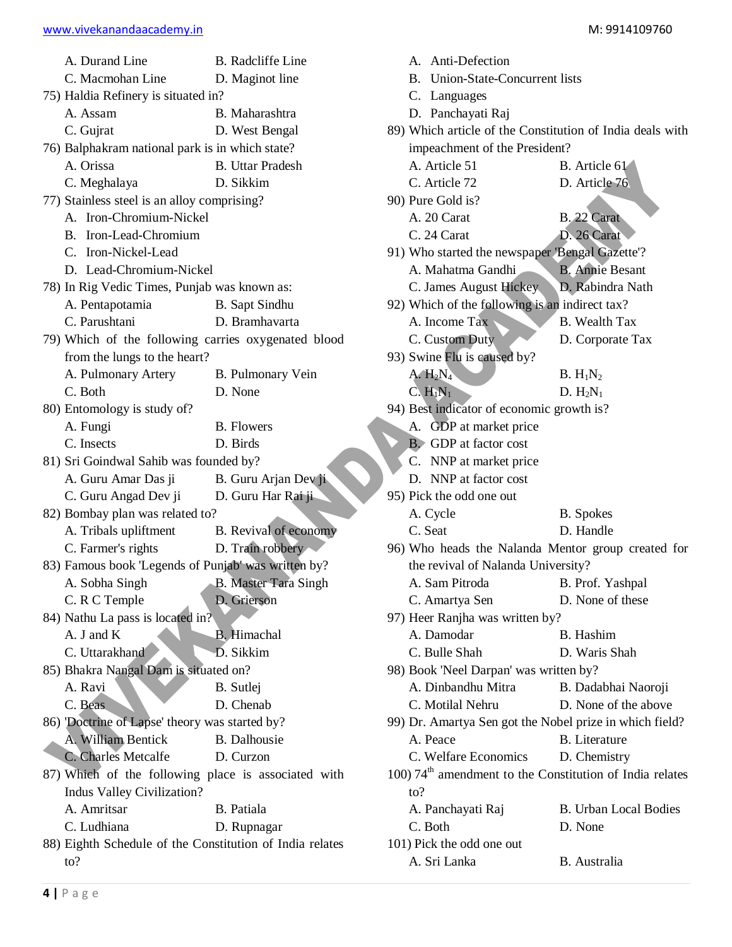| A. Durand Line                                                               | <b>B.</b> Radcliffe Line     |
|------------------------------------------------------------------------------|------------------------------|
| C. Macmohan Line                                                             | D. Maginot line              |
| 75) Haldia Refinery is situated in?                                          |                              |
| A. Assam                                                                     | B. Maharashtra               |
| C. Gujrat                                                                    | D. West Bengal               |
| 76) Balphakram national park is in which state?                              |                              |
| A. Orissa                                                                    | <b>B.</b> Uttar Pradesh      |
| C. Meghalaya                                                                 | D. Sikkim                    |
| 77) Stainless steel is an alloy comprising?                                  |                              |
| A. Iron-Chromium-Nickel                                                      |                              |
| B. Iron-Lead-Chromium                                                        |                              |
| C. Iron-Nickel-Lead                                                          |                              |
| D. Lead-Chromium-Nickel                                                      |                              |
| 78) In Rig Vedic Times, Punjab was known as:                                 |                              |
| A. Pentapotamia                                                              | <b>B.</b> Sapt Sindhu        |
| C. Parushtani                                                                | D. Bramhavarta               |
| 79) Which of the following carries oxygenated blood                          |                              |
| from the lungs to the heart?                                                 |                              |
| A. Pulmonary Artery                                                          | B. Pulmonary Vein            |
| C. Both                                                                      | D. None                      |
| 80) Entomology is study of?                                                  |                              |
| A. Fungi                                                                     | <b>B.</b> Flowers            |
| C. Insects                                                                   | D. Birds                     |
| 81) Sri Goindwal Sahib was founded by?                                       |                              |
| A. Guru Amar Das ji                                                          | B. Guru Arjan Dev ji         |
| C. Guru Angad Dev ji                                                         | D. Guru Har Rai ji           |
| 82) Bombay plan was related to?                                              |                              |
| A. Tribals upliftment                                                        | <b>B.</b> Revival of economy |
| C. Farmer's rights                                                           | D. Train robbery             |
| 83) Famous book 'Legends of Punjab' was written by?                          |                              |
| A. Sobha Singh                                                               | <b>B.</b> Master Tara Singh  |
| C. R C Temple                                                                | D. Grierson                  |
| 84) Nathu La pass is located in?                                             |                              |
| A. J and K                                                                   | <b>B.</b> Himachal           |
| C. Uttarakhand                                                               | D. Sikkim                    |
| 85) Bhakra Nangal Dam is situated on?                                        |                              |
| A. Ravi                                                                      | <b>B.</b> Sutlei             |
| C. Beas                                                                      | D. Chenab                    |
| 86) Doctrine of Lapse' theory was started by?                                |                              |
| A. William Bentick                                                           | B. Dalhousie                 |
| C. Charles Metcalfe                                                          | D. Curzon                    |
| 87) Which of the following place is associated with                          |                              |
| Indus Valley Civilization?                                                   |                              |
| A. Amritsar                                                                  | B. Patiala                   |
| C. Ludhiana                                                                  | D. Rupnagar                  |
| 88) Eighth Schedule of the Constitution of India relates<br>$\mathfrak{to}?$ |                              |
|                                                                              |                              |

B. Union-State-Concurrent lists C. Languages D. Panchayati Raj 89) Which article of the Constitution of India deals with impeachment of the President? A. Article 51 B. Article 61 C. Article 72 D. Article 76 90) Pure Gold is? A. 20 Carat B. 22 Carat C. 24 Carat D. 26 Carat 91) Who started the newspaper 'Bengal Gazette'? A. Mahatma Gandhi B. Annie Besant C. James August Hickey D. Rabindra Nath 92) Which of the following is an indirect tax? A. Income Tax B. Wealth Tax C. Custom Duty D. Corporate Tax 93) Swine Flu is caused by? A.  $H_2N_4$  B.  $H_1N_2$  $C. H_1N_1$  D.  $H_2N_1$ 94) Best indicator of economic growth is? A. GDP at market price B. GDP at factor cost C. NNP at market price D. NNP at factor cost 95) Pick the odd one out A. Cycle B. Spokes C. Seat D. Handle 96) Who heads the Nalanda Mentor group created for the revival of Nalanda University? A. Sam Pitroda B. Prof. Yashpal C. Amartya Sen D. None of these 97) Heer Ranjha was written by? A. Damodar B. Hashim C. Bulle Shah D. Waris Shah 98) Book 'Neel Darpan' was written by? A. Dinbandhu Mitra B. Dadabhai Naoroji C. Motilal Nehru D. None of the above 99) Dr. Amartya Sen got the Nobel prize in which field? A. Peace B. Literature C. Welfare Economics D. Chemistry 100)  $74<sup>th</sup>$  amendment to the Constitution of India relates to? A. Panchayati Raj B. Urban Local Bodies C. Both D. None 101) Pick the odd one out A. Sri Lanka B. Australia

A. Anti-Defection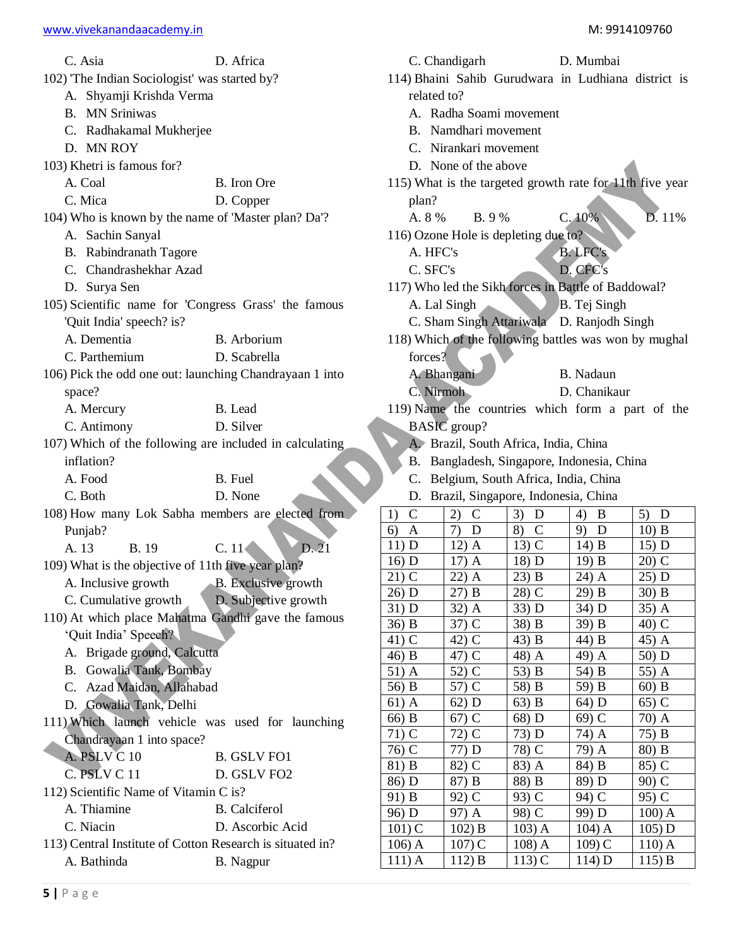| C. Asia                                      | D. Africa                                                 |                      | C. Chandigarh                          |                       | D. Mumbai                                                |                       |
|----------------------------------------------|-----------------------------------------------------------|----------------------|----------------------------------------|-----------------------|----------------------------------------------------------|-----------------------|
| 102) The Indian Sociologist' was started by? |                                                           |                      |                                        |                       | 114) Bhaini Sahib Gurudwara in Ludhiana district is      |                       |
| A. Shyamji Krishda Verma                     | related to?                                               |                      |                                        |                       |                                                          |                       |
| <b>B.</b> MN Sriniwas                        |                                                           |                      | A. Radha Soami movement                |                       |                                                          |                       |
| C. Radhakamal Mukherjee                      |                                                           | B.                   | Namdhari movement                      |                       |                                                          |                       |
| D. MN ROY                                    |                                                           |                      | C. Nirankari movement                  |                       |                                                          |                       |
| 103) Khetri is famous for?                   |                                                           | D. None of the above |                                        |                       |                                                          |                       |
| A. Coal                                      | B. Iron Ore                                               |                      |                                        |                       | 115) What is the targeted growth rate for 11th five year |                       |
| C. Mica                                      | D. Copper                                                 | plan?                |                                        |                       |                                                          |                       |
|                                              |                                                           | A. 8 %               | B. 9 %                                 |                       | C.10%                                                    | D. 11%                |
|                                              | 104) Who is known by the name of 'Master plan? Da'?       |                      |                                        |                       |                                                          |                       |
| A. Sachin Sanyal                             |                                                           |                      | 116) Ozone Hole is depleting due to?   |                       |                                                          |                       |
| B. Rabindranath Tagore                       |                                                           | A. HFC's             |                                        |                       | <b>B.LFC's</b>                                           |                       |
| C. Chandrashekhar Azad                       |                                                           | C. SFC's             |                                        |                       | D. CFC's                                                 |                       |
| D. Surya Sen                                 |                                                           |                      |                                        |                       | 117) Who led the Sikh forces in Battle of Baddowal?      |                       |
|                                              | 105) Scientific name for 'Congress Grass' the famous      |                      | A. Lal Singh                           |                       | B. Tej Singh                                             |                       |
| 'Quit India' speech? is?                     |                                                           |                      |                                        |                       | C. Sham Singh Attariwala D. Ranjodh Singh                |                       |
| A. Dementia                                  | B. Arborium                                               |                      |                                        |                       | 118) Which of the following battles was won by mughal    |                       |
| C. Parthemium                                | D. Scabrella                                              | forces?              |                                        |                       |                                                          |                       |
|                                              | 106) Pick the odd one out: launching Chandrayaan 1 into   |                      | A. Bhangani                            |                       | B. Nadaun                                                |                       |
| space?                                       |                                                           |                      | C. Nirmoh                              |                       | D. Chanikaur                                             |                       |
| A. Mercury                                   | B. Lead                                                   |                      |                                        |                       | 119) Name the countries which form a part of the         |                       |
| C. Antimony                                  | D. Silver                                                 |                      | $BASIC$ group?                         |                       |                                                          |                       |
|                                              | 107) Which of the following are included in calculating   |                      | A. Brazil, South Africa, India, China  |                       |                                                          |                       |
| inflation?                                   |                                                           |                      |                                        |                       | B. Bangladesh, Singapore, Indonesia, China               |                       |
| A. Food                                      | B. Fuel                                                   |                      | C. Belgium, South Africa, India, China |                       |                                                          |                       |
| C. Both                                      | D. None                                                   |                      | D. Brazil, Singapore, Indonesia, China |                       |                                                          |                       |
|                                              | 108) How many Lok Sabha members are elected from          | $\mathcal{C}$<br>1)  | $\mathbf C$<br>2)                      | 3)<br>D               | 4)<br>B                                                  | 5)<br>D               |
| Punjab?                                      |                                                           | 6)<br>$\mathbf{A}$   | 7)<br>D                                | 8)<br>$\mathcal{C}$   | 9)<br>D                                                  | $10)$ B               |
| A. 13<br><b>B.</b> 19                        | D.21<br>C.11                                              | 11) D                | $12)$ A                                | $13)$ C               | $14)$ B                                                  | 15) D                 |
|                                              | 109) What is the objective of 11th five year plan?        | 16) D                | $17)$ A                                | 18) D                 | 19) B                                                    | 20) C                 |
| A. Inclusive growth                          | <b>B.</b> Exclusive growth                                | $21)$ C              | 22) A                                  | $23)$ B               | 24) A                                                    | 25) D                 |
| C. Cumulative growth                         | D. Subjective growth                                      | 26) D                | 27) B                                  | $\overline{28}$ ) C   | 29) B                                                    | $30)$ B               |
|                                              | 110) At which place Mahatma Gandhi gave the famous        | 31) D                | 32) A                                  | 33) D                 | 34) D                                                    | $35)$ A               |
| 'Quit India' Speech?                         |                                                           | $36)$ B              | $37)$ C                                | 38) B                 | 39) B                                                    | 40) C                 |
| A. Brigade ground, Calcutta                  |                                                           | $41)$ C              | 42) C                                  | 43) B                 | 44) B                                                    | 45) A                 |
|                                              |                                                           | $46)$ B              | 47) C                                  | 48) A                 | 49) A                                                    | 50) D                 |
| Gowalia Tank, Bombay<br>В.                   |                                                           | $51)$ A              | 52) C                                  | 53) B                 | 54) B                                                    | 55) A                 |
| C. Azad Maidan, Allahabad                    |                                                           | 56) B<br>$61)$ A     | 57) C                                  | 58) B<br>$63)$ B      | 59) B                                                    | $60)$ B               |
| D. Gowalia Tank, Delhi                       |                                                           | 66) B                | 62) D<br>$67)$ C                       | 68) D                 | 64) D<br>$69)$ C                                         | 65) C<br>70) A        |
|                                              | 111) Which launch vehicle was used for launching          | $71)$ C              | 72) C                                  | 73) D                 | 74) A                                                    | 75) B                 |
| Chandrayaan 1 into space?                    |                                                           | $76)\overline{C}$    | 77) D                                  | 78) C                 | 79) A                                                    | 80) B                 |
| A. PSLV C 10                                 | <b>B. GSLV FO1</b>                                        | 81) B                | 82) C                                  | 83) A                 | 84) B                                                    | 85) C                 |
| C. PSLV C 11                                 | D. GSLV FO2                                               | 86) D                | 87) B                                  | 88) B                 | 89) D                                                    | 90) C                 |
| 112) Scientific Name of Vitamin C is?        |                                                           | 91) B                | 92) C                                  | 93) C                 | 94) C                                                    | 95) C                 |
| A. Thiamine                                  | <b>B.</b> Calciferol                                      | 96) D                | 97) A                                  | 98) C                 | 99) D                                                    | $100$ ) A             |
| C. Niacin                                    | D. Ascorbic Acid                                          | $101)$ C             | $102$ ) B                              | $103)$ A              | 104) A                                                   | 105) D                |
|                                              |                                                           |                      |                                        |                       |                                                          |                       |
|                                              | 113) Central Institute of Cotton Research is situated in? | $106)$ A<br>$111)$ A | $107)$ C<br>$112$ ) B                  | $108$ $A$<br>$113)$ C | $109)$ C<br>$114$ ) D                                    | $110)$ A<br>$115$ ) B |